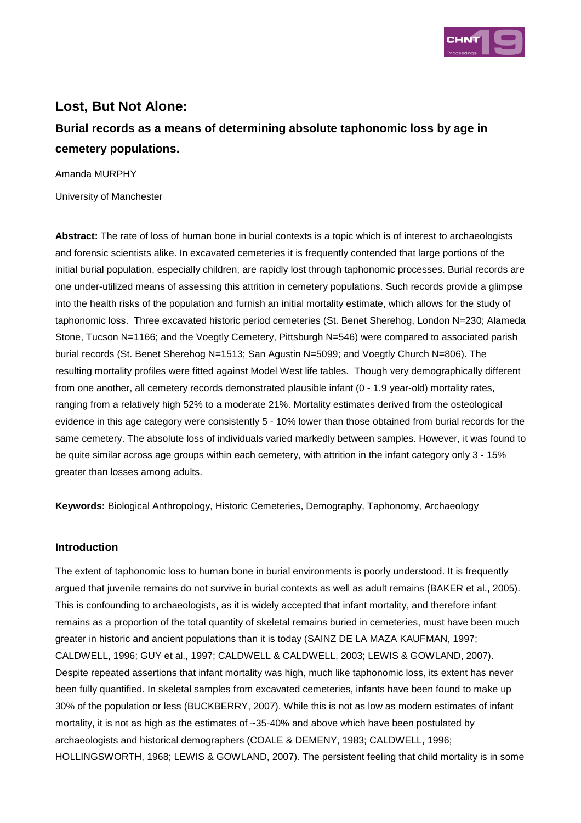

## **Lost, But Not Alone:**

# **Burial records as a means of determining absolute taphonomic loss by age in cemetery populations.**

Amanda MURPHY

University of Manchester

**Abstract:** The rate of loss of human bone in burial contexts is a topic which is of interest to archaeologists and forensic scientists alike. In excavated cemeteries it is frequently contended that large portions of the initial burial population, especially children, are rapidly lost through taphonomic processes. Burial records are one under-utilized means of assessing this attrition in cemetery populations. Such records provide a glimpse into the health risks of the population and furnish an initial mortality estimate, which allows for the study of taphonomic loss. Three excavated historic period cemeteries (St. Benet Sherehog, London N=230; Alameda Stone, Tucson N=1166; and the Voegtly Cemetery, Pittsburgh N=546) were compared to associated parish burial records (St. Benet Sherehog N=1513; San Agustin N=5099; and Voegtly Church N=806). The resulting mortality profiles were fitted against Model West life tables. Though very demographically different from one another, all cemetery records demonstrated plausible infant (0 - 1.9 year-old) mortality rates, ranging from a relatively high 52% to a moderate 21%. Mortality estimates derived from the osteological evidence in this age category were consistently 5 - 10% lower than those obtained from burial records for the same cemetery. The absolute loss of individuals varied markedly between samples. However, it was found to be quite similar across age groups within each cemetery, with attrition in the infant category only 3 - 15% greater than losses among adults.

**Keywords:** Biological Anthropology, Historic Cemeteries, Demography, Taphonomy, Archaeology

#### **Introduction**

The extent of taphonomic loss to human bone in burial environments is poorly understood. It is frequently argued that juvenile remains do not survive in burial contexts as well as adult remains (BAKER et al., 2005). This is confounding to archaeologists, as it is widely accepted that infant mortality, and therefore infant remains as a proportion of the total quantity of skeletal remains buried in cemeteries, must have been much greater in historic and ancient populations than it is today (SAINZ DE LA MAZA KAUFMAN, 1997; CALDWELL, 1996; GUY et al., 1997; CALDWELL & CALDWELL, 2003; LEWIS & GOWLAND, 2007). Despite repeated assertions that infant mortality was high, much like taphonomic loss, its extent has never been fully quantified. In skeletal samples from excavated cemeteries, infants have been found to make up 30% of the population or less (BUCKBERRY, 2007). While this is not as low as modern estimates of infant mortality, it is not as high as the estimates of ~35-40% and above which have been postulated by archaeologists and historical demographers (COALE & DEMENY, 1983; CALDWELL, 1996; HOLLINGSWORTH, 1968; LEWIS & GOWLAND, 2007). The persistent feeling that child mortality is in some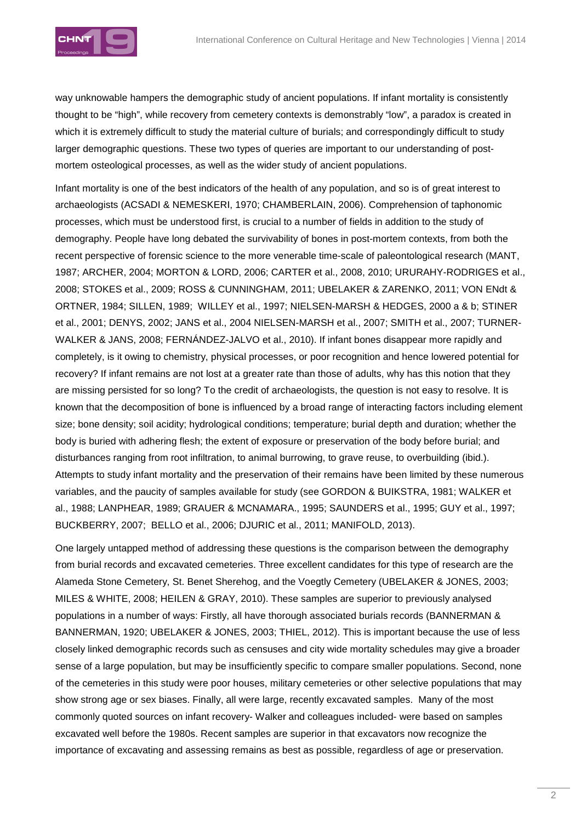

way unknowable hampers the demographic study of ancient populations. If infant mortality is consistently thought to be "high", while recovery from cemetery contexts is demonstrably "low", a paradox is created in which it is extremely difficult to study the material culture of burials; and correspondingly difficult to study larger demographic questions. These two types of queries are important to our understanding of postmortem osteological processes, as well as the wider study of ancient populations.

Infant mortality is one of the best indicators of the health of any population, and so is of great interest to archaeologists (ACSADI & NEMESKERI, 1970; CHAMBERLAIN, 2006). Comprehension of taphonomic processes, which must be understood first, is crucial to a number of fields in addition to the study of demography. People have long debated the survivability of bones in post-mortem contexts, from both the recent perspective of forensic science to the more venerable time-scale of paleontological research (MANT, 1987; ARCHER, 2004; MORTON & LORD, 2006; CARTER et al., 2008, 2010; URURAHY-RODRIGES et al., 2008; STOKES et al., 2009; ROSS & CUNNINGHAM, 2011; UBELAKER & ZARENKO, 2011; VON ENdt & ORTNER, 1984; SILLEN, 1989; WILLEY et al., 1997; NIELSEN-MARSH & HEDGES, 2000 a & b; STINER et al., 2001; DENYS, 2002; JANS et al., 2004 NIELSEN-MARSH et al., 2007; SMITH et al., 2007; TURNER-WALKER & JANS, 2008; FERNÁNDEZ-JALVO et al., 2010). If infant bones disappear more rapidly and completely, is it owing to chemistry, physical processes, or poor recognition and hence lowered potential for recovery? If infant remains are not lost at a greater rate than those of adults, why has this notion that they are missing persisted for so long? To the credit of archaeologists, the question is not easy to resolve. It is known that the decomposition of bone is influenced by a broad range of interacting factors including element size; bone density; soil acidity; hydrological conditions; temperature; burial depth and duration; whether the body is buried with adhering flesh; the extent of exposure or preservation of the body before burial; and disturbances ranging from root infiltration, to animal burrowing, to grave reuse, to overbuilding (ibid.). Attempts to study infant mortality and the preservation of their remains have been limited by these numerous variables, and the paucity of samples available for study (see GORDON & BUIKSTRA, 1981; WALKER et al., 1988; LANPHEAR, 1989; GRAUER & MCNAMARA., 1995; SAUNDERS et al., 1995; GUY et al., 1997; BUCKBERRY, 2007; BELLO et al., 2006; DJURIC et al., 2011; MANIFOLD, 2013).

One largely untapped method of addressing these questions is the comparison between the demography from burial records and excavated cemeteries. Three excellent candidates for this type of research are the Alameda Stone Cemetery, St. Benet Sherehog, and the Voegtly Cemetery (UBELAKER & JONES, 2003; MILES & WHITE, 2008; HEILEN & GRAY, 2010). These samples are superior to previously analysed populations in a number of ways: Firstly, all have thorough associated burials records (BANNERMAN & BANNERMAN, 1920; UBELAKER & JONES, 2003; THIEL, 2012). This is important because the use of less closely linked demographic records such as censuses and city wide mortality schedules may give a broader sense of a large population, but may be insufficiently specific to compare smaller populations. Second, none of the cemeteries in this study were poor houses, military cemeteries or other selective populations that may show strong age or sex biases. Finally, all were large, recently excavated samples. Many of the most commonly quoted sources on infant recovery- Walker and colleagues included- were based on samples excavated well before the 1980s. Recent samples are superior in that excavators now recognize the importance of excavating and assessing remains as best as possible, regardless of age or preservation.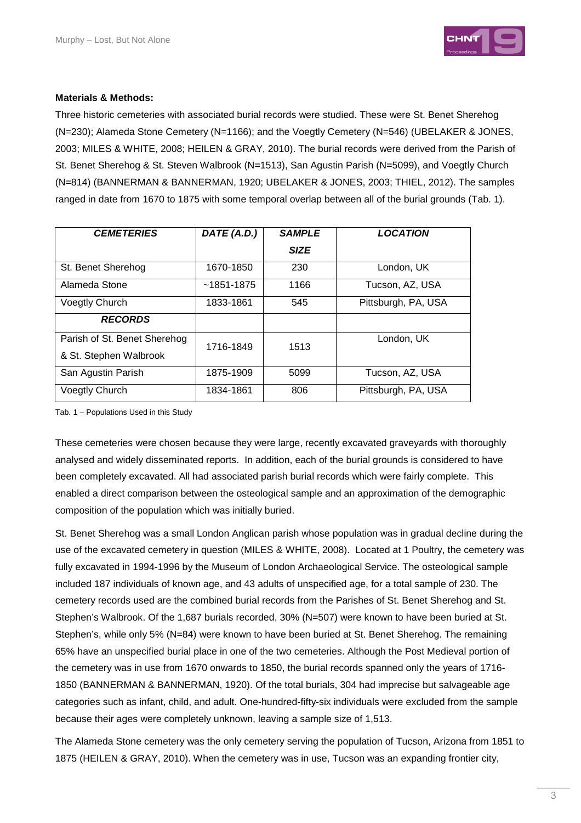

#### **Materials & Methods:**

Three historic cemeteries with associated burial records were studied. These were St. Benet Sherehog (N=230); Alameda Stone Cemetery (N=1166); and the Voegtly Cemetery (N=546) (UBELAKER & JONES, 2003; MILES & WHITE, 2008; HEILEN & GRAY, 2010). The burial records were derived from the Parish of St. Benet Sherehog & St. Steven Walbrook (N=1513), San Agustin Parish (N=5099), and Voegtly Church (N=814) (BANNERMAN & BANNERMAN, 1920; UBELAKER & JONES, 2003; THIEL, 2012). The samples ranged in date from 1670 to 1875 with some temporal overlap between all of the burial grounds (Tab. 1).

| <b>CEMETERIES</b>                                      | DATE (A.D.)    | <b>SAMPLE</b> | <b>LOCATION</b>     |
|--------------------------------------------------------|----------------|---------------|---------------------|
|                                                        |                | <b>SIZE</b>   |                     |
| St. Benet Sherehog                                     | 1670-1850      | 230           | London, UK          |
| Alameda Stone                                          | $~1851 - 1875$ | 1166          | Tucson, AZ, USA     |
| <b>Voegtly Church</b>                                  | 1833-1861      | 545           | Pittsburgh, PA, USA |
| <b>RECORDS</b>                                         |                |               |                     |
| Parish of St. Benet Sherehog<br>& St. Stephen Walbrook | 1716-1849      | 1513          | London, UK          |
| San Agustin Parish                                     | 1875-1909      | 5099          | Tucson, AZ, USA     |
| <b>Voegtly Church</b>                                  | 1834-1861      | 806           | Pittsburgh, PA, USA |

Tab. 1 – Populations Used in this Study

These cemeteries were chosen because they were large, recently excavated graveyards with thoroughly analysed and widely disseminated reports. In addition, each of the burial grounds is considered to have been completely excavated. All had associated parish burial records which were fairly complete. This enabled a direct comparison between the osteological sample and an approximation of the demographic composition of the population which was initially buried.

St. Benet Sherehog was a small London Anglican parish whose population was in gradual decline during the use of the excavated cemetery in question (MILES & WHITE, 2008). Located at 1 Poultry, the cemetery was fully excavated in 1994-1996 by the Museum of London Archaeological Service. The osteological sample included 187 individuals of known age, and 43 adults of unspecified age, for a total sample of 230. The cemetery records used are the combined burial records from the Parishes of St. Benet Sherehog and St. Stephen's Walbrook. Of the 1,687 burials recorded, 30% (N=507) were known to have been buried at St. Stephen's, while only 5% (N=84) were known to have been buried at St. Benet Sherehog. The remaining 65% have an unspecified burial place in one of the two cemeteries. Although the Post Medieval portion of the cemetery was in use from 1670 onwards to 1850, the burial records spanned only the years of 1716- 1850 (BANNERMAN & BANNERMAN, 1920). Of the total burials, 304 had imprecise but salvageable age categories such as infant, child, and adult. One-hundred-fifty-six individuals were excluded from the sample because their ages were completely unknown, leaving a sample size of 1,513.

The Alameda Stone cemetery was the only cemetery serving the population of Tucson, Arizona from 1851 to 1875 (HEILEN & GRAY, 2010). When the cemetery was in use, Tucson was an expanding frontier city,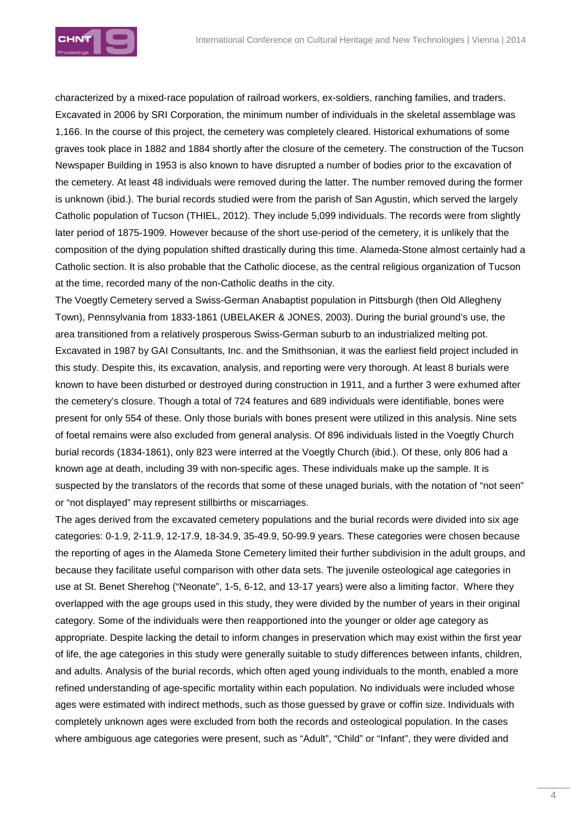

characterized by a mixed-race population of railroad workers, ex-soldiers, ranching families, and traders. Excavated in 2006 by SRI Corporation, the minimum number of individuals in the skeletal assemblage was 1,166. In the course of this project, the cemetery was completely cleared. Historical exhumations of some graves took place in 1882 and 1884 shortly after the closure of the cemetery. The construction of the Tucson Newspaper Building in 1953 is also known to have disrupted a number of bodies prior to the excavation of the cemetery. At least 48 individuals were removed during the latter. The number removed during the former is unknown (ibid.). The burial records studied were from the parish of San Agustin, which served the largely Catholic population of Tucson (THIEL, 2012). They include 5,099 individuals. The records were from slightly later period of 1875-1909. However because of the short use-period of the cemetery, it is unlikely that the composition of the dying population shifted drastically during this time. Alameda-Stone almost certainly had a Catholic section. It is also probable that the Catholic diocese, as the central religious organization of Tucson at the time, recorded many of the non-Catholic deaths in the city.

The Voegtly Cemetery served a Swiss-German Anabaptist population in Pittsburgh (then Old Allegheny Town), Pennsylvania from 1833-1861 (UBELAKER & JONES, 2003). During the burial ground's use, the area transitioned from a relatively prosperous Swiss-German suburb to an industrialized melting pot. Excavated in 1987 by GAI Consultants, Inc. and the Smithsonian, it was the earliest field project included in this study. Despite this, its excavation, analysis, and reporting were very thorough. At least 8 burials were known to have been disturbed or destroyed during construction in 1911, and a further 3 were exhumed after the cemetery's closure. Though a total of 724 features and 689 individuals were identifiable, bones were present for only 554 of these. Only those burials with bones present were utilized in this analysis. Nine sets of foetal remains were also excluded from general analysis. Of 896 individuals listed in the Voegtly Church burial records (1834-1861), only 823 were interred at the Voegtly Church (ibid.). Of these, only 806 had a known age at death, including 39 with non-specific ages. These individuals make up the sample. It is suspected by the translators of the records that some of these unaged burials, with the notation of "not seen" or "not displayed" may represent stillbirths or miscarriages.

The ages derived from the excavated cemetery populations and the burial records were divided into six age categories: 0-1.9, 2-11.9, 12-17.9, 18-34.9, 35-49.9, 50-99.9 years. These categories were chosen because the reporting of ages in the Alameda Stone Cemetery limited their further subdivision in the adult groups, and because they facilitate useful comparison with other data sets. The juvenile osteological age categories in use at St. Benet Sherehog ("Neonate", 1-5, 6-12, and 13-17 years) were also a limiting factor. Where they overlapped with the age groups used in this study, they were divided by the number of years in their original category. Some of the individuals were then reapportioned into the younger or older age category as appropriate. Despite lacking the detail to inform changes in preservation which may exist within the first year of life, the age categories in this study were generally suitable to study differences between infants, children, and adults. Analysis of the burial records, which often aged young individuals to the month, enabled a more refined understanding of age-specific mortality within each population. No individuals were included whose ages were estimated with indirect methods, such as those guessed by grave or coffin size. Individuals with completely unknown ages were excluded from both the records and osteological population. In the cases where ambiguous age categories were present, such as "Adult", "Child" or "Infant", they were divided and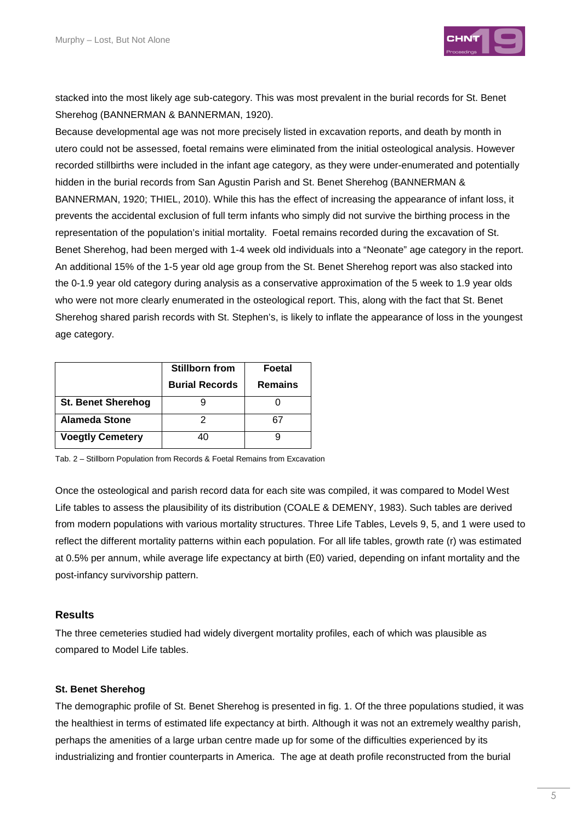

stacked into the most likely age sub-category. This was most prevalent in the burial records for St. Benet Sherehog (BANNERMAN & BANNERMAN, 1920).

Because developmental age was not more precisely listed in excavation reports, and death by month in utero could not be assessed, foetal remains were eliminated from the initial osteological analysis. However recorded stillbirths were included in the infant age category, as they were under-enumerated and potentially hidden in the burial records from San Agustin Parish and St. Benet Sherehog (BANNERMAN & BANNERMAN, 1920; THIEL, 2010). While this has the effect of increasing the appearance of infant loss, it prevents the accidental exclusion of full term infants who simply did not survive the birthing process in the representation of the population's initial mortality. Foetal remains recorded during the excavation of St. Benet Sherehog, had been merged with 1-4 week old individuals into a "Neonate" age category in the report. An additional 15% of the 1-5 year old age group from the St. Benet Sherehog report was also stacked into the 0-1.9 year old category during analysis as a conservative approximation of the 5 week to 1.9 year olds who were not more clearly enumerated in the osteological report. This, along with the fact that St. Benet Sherehog shared parish records with St. Stephen's, is likely to inflate the appearance of loss in the youngest age category.

|                           | <b>Stillborn from</b> | Foetal         |
|---------------------------|-----------------------|----------------|
|                           | <b>Burial Records</b> | <b>Remains</b> |
| <b>St. Benet Sherehog</b> |                       |                |
| <b>Alameda Stone</b>      |                       | 67             |
| <b>Voegtly Cemetery</b>   |                       |                |

Tab. 2 – Stillborn Population from Records & Foetal Remains from Excavation

Once the osteological and parish record data for each site was compiled, it was compared to Model West Life tables to assess the plausibility of its distribution (COALE & DEMENY, 1983). Such tables are derived from modern populations with various mortality structures. Three Life Tables, Levels 9, 5, and 1 were used to reflect the different mortality patterns within each population. For all life tables, growth rate (r) was estimated at 0.5% per annum, while average life expectancy at birth (E0) varied, depending on infant mortality and the post-infancy survivorship pattern.

#### **Results**

The three cemeteries studied had widely divergent mortality profiles, each of which was plausible as compared to Model Life tables.

#### **St. Benet Sherehog**

The demographic profile of St. Benet Sherehog is presented in fig. 1. Of the three populations studied, it was the healthiest in terms of estimated life expectancy at birth. Although it was not an extremely wealthy parish, perhaps the amenities of a large urban centre made up for some of the difficulties experienced by its industrializing and frontier counterparts in America. The age at death profile reconstructed from the burial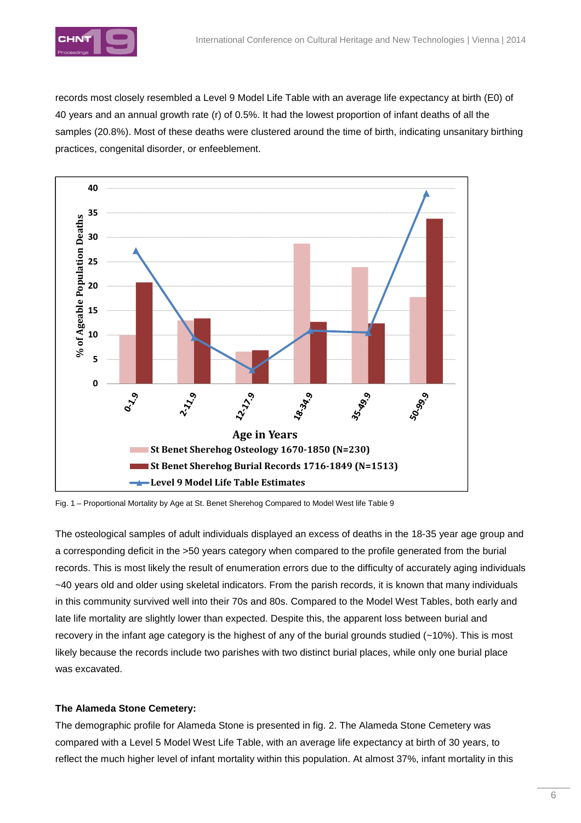

records most closely resembled a Level 9 Model Life Table with an average life expectancy at birth (E0) of 40 years and an annual growth rate (r) of 0.5%. It had the lowest proportion of infant deaths of all the samples (20.8%). Most of these deaths were clustered around the time of birth, indicating unsanitary birthing practices, congenital disorder, or enfeeblement.



Fig. 1 – Proportional Mortality by Age at St. Benet Sherehog Compared to Model West life Table 9

The osteological samples of adult individuals displayed an excess of deaths in the 18-35 year age group and a corresponding deficit in the >50 years category when compared to the profile generated from the burial records. This is most likely the result of enumeration errors due to the difficulty of accurately aging individuals ~40 years old and older using skeletal indicators. From the parish records, it is known that many individuals in this community survived well into their 70s and 80s. Compared to the Model West Tables, both early and late life mortality are slightly lower than expected. Despite this, the apparent loss between burial and recovery in the infant age category is the highest of any of the burial grounds studied (~10%). This is most likely because the records include two parishes with two distinct burial places, while only one burial place was excavated.

#### **The Alameda Stone Cemetery:**

The demographic profile for Alameda Stone is presented in fig. 2. The Alameda Stone Cemetery was compared with a Level 5 Model West Life Table, with an average life expectancy at birth of 30 years, to reflect the much higher level of infant mortality within this population. At almost 37%, infant mortality in this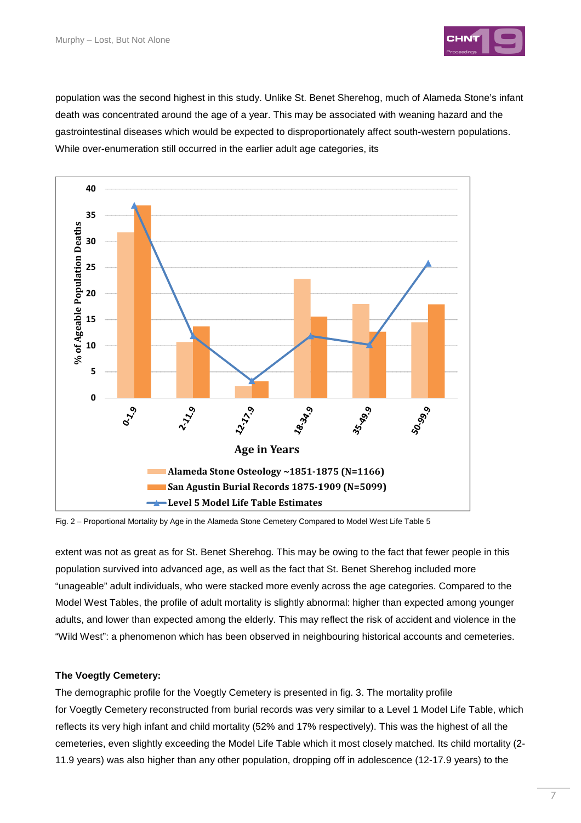

population was the second highest in this study. Unlike St. Benet Sherehog, much of Alameda Stone's infant death was concentrated around the age of a year. This may be associated with weaning hazard and the gastrointestinal diseases which would be expected to disproportionately affect south-western populations. While over-enumeration still occurred in the earlier adult age categories, its



Fig. 2 – Proportional Mortality by Age in the Alameda Stone Cemetery Compared to Model West Life Table 5

extent was not as great as for St. Benet Sherehog. This may be owing to the fact that fewer people in this population survived into advanced age, as well as the fact that St. Benet Sherehog included more "unageable" adult individuals, who were stacked more evenly across the age categories. Compared to the Model West Tables, the profile of adult mortality is slightly abnormal: higher than expected among younger adults, and lower than expected among the elderly. This may reflect the risk of accident and violence in the "Wild West": a phenomenon which has been observed in neighbouring historical accounts and cemeteries.

#### **The Voegtly Cemetery:**

The demographic profile for the Voegtly Cemetery is presented in fig. 3. The mortality profile for Voegtly Cemetery reconstructed from burial records was very similar to a Level 1 Model Life Table, which reflects its very high infant and child mortality (52% and 17% respectively). This was the highest of all the cemeteries, even slightly exceeding the Model Life Table which it most closely matched. Its child mortality (2- 11.9 years) was also higher than any other population, dropping off in adolescence (12-17.9 years) to the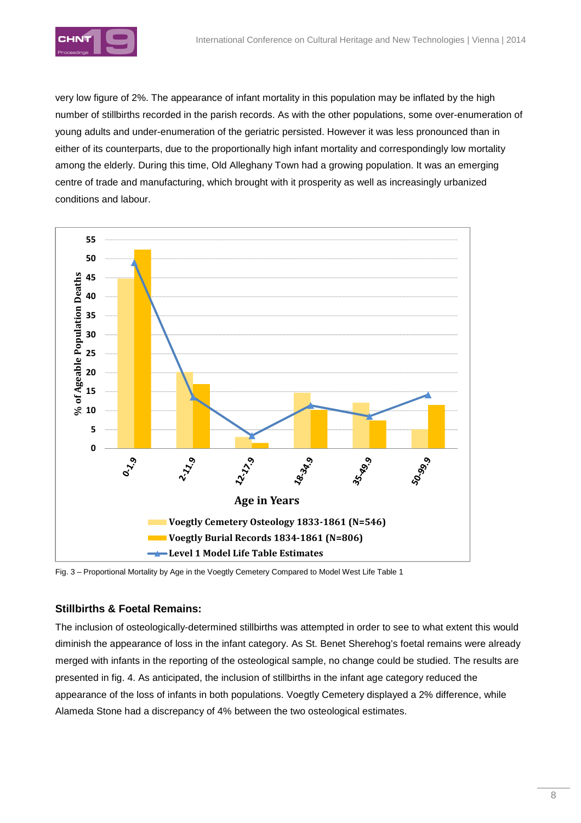

very low figure of 2%. The appearance of infant mortality in this population may be inflated by the high number of stillbirths recorded in the parish records. As with the other populations, some over-enumeration of young adults and under-enumeration of the geriatric persisted. However it was less pronounced than in either of its counterparts, due to the proportionally high infant mortality and correspondingly low mortality among the elderly. During this time, Old Alleghany Town had a growing population. It was an emerging centre of trade and manufacturing, which brought with it prosperity as well as increasingly urbanized conditions and labour.



Fig. 3 – Proportional Mortality by Age in the Voegtly Cemetery Compared to Model West Life Table 1

## **Stillbirths & Foetal Remains:**

The inclusion of osteologically-determined stillbirths was attempted in order to see to what extent this would diminish the appearance of loss in the infant category. As St. Benet Sherehog's foetal remains were already merged with infants in the reporting of the osteological sample, no change could be studied. The results are presented in fig. 4. As anticipated, the inclusion of stillbirths in the infant age category reduced the appearance of the loss of infants in both populations. Voegtly Cemetery displayed a 2% difference, while Alameda Stone had a discrepancy of 4% between the two osteological estimates.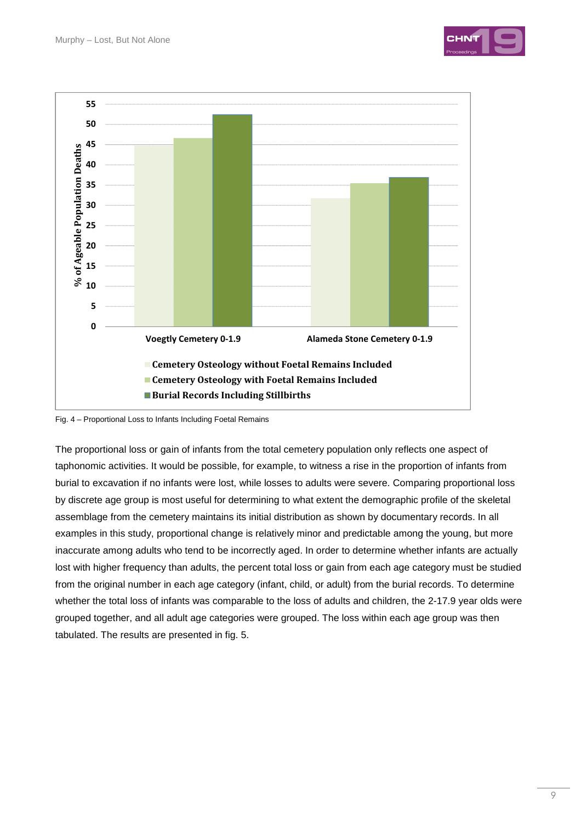



Fig. 4 – Proportional Loss to Infants Including Foetal Remains

The proportional loss or gain of infants from the total cemetery population only reflects one aspect of taphonomic activities. It would be possible, for example, to witness a rise in the proportion of infants from burial to excavation if no infants were lost, while losses to adults were severe. Comparing proportional loss by discrete age group is most useful for determining to what extent the demographic profile of the skeletal assemblage from the cemetery maintains its initial distribution as shown by documentary records. In all examples in this study, proportional change is relatively minor and predictable among the young, but more inaccurate among adults who tend to be incorrectly aged. In order to determine whether infants are actually lost with higher frequency than adults, the percent total loss or gain from each age category must be studied from the original number in each age category (infant, child, or adult) from the burial records. To determine whether the total loss of infants was comparable to the loss of adults and children, the 2-17.9 year olds were grouped together, and all adult age categories were grouped. The loss within each age group was then tabulated. The results are presented in fig. 5.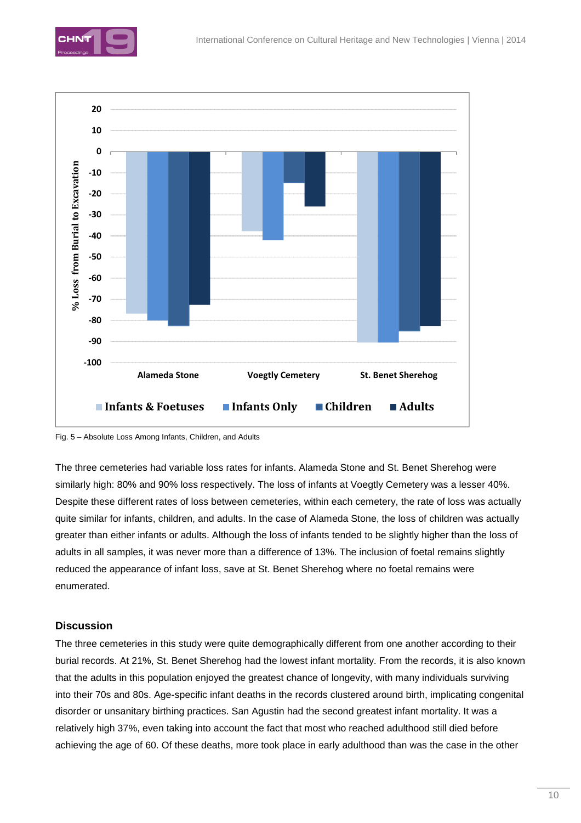



Fig. 5 – Absolute Loss Among Infants, Children, and Adults

The three cemeteries had variable loss rates for infants. Alameda Stone and St. Benet Sherehog were similarly high: 80% and 90% loss respectively. The loss of infants at Voegtly Cemetery was a lesser 40%. Despite these different rates of loss between cemeteries, within each cemetery, the rate of loss was actually quite similar for infants, children, and adults. In the case of Alameda Stone, the loss of children was actually greater than either infants or adults. Although the loss of infants tended to be slightly higher than the loss of adults in all samples, it was never more than a difference of 13%. The inclusion of foetal remains slightly reduced the appearance of infant loss, save at St. Benet Sherehog where no foetal remains were enumerated.

## **Discussion**

The three cemeteries in this study were quite demographically different from one another according to their burial records. At 21%, St. Benet Sherehog had the lowest infant mortality. From the records, it is also known that the adults in this population enjoyed the greatest chance of longevity, with many individuals surviving into their 70s and 80s. Age-specific infant deaths in the records clustered around birth, implicating congenital disorder or unsanitary birthing practices. San Agustin had the second greatest infant mortality. It was a relatively high 37%, even taking into account the fact that most who reached adulthood still died before achieving the age of 60. Of these deaths, more took place in early adulthood than was the case in the other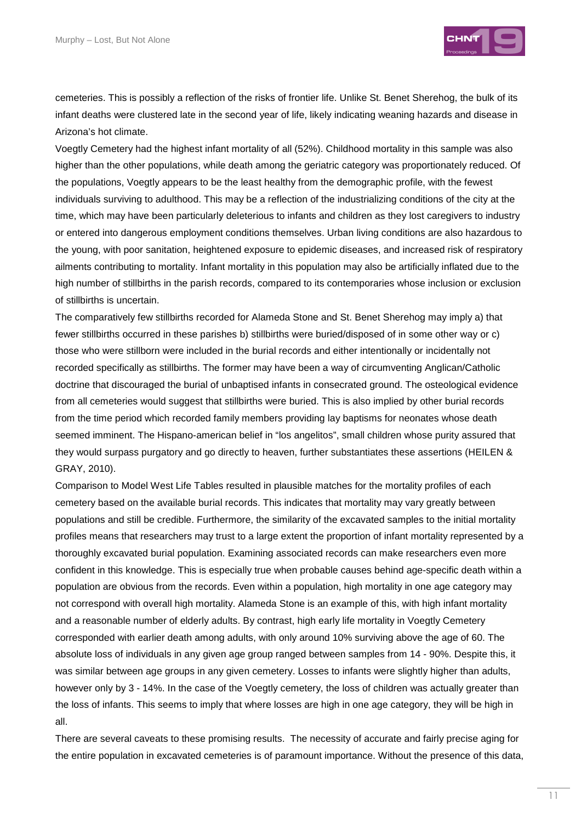

cemeteries. This is possibly a reflection of the risks of frontier life. Unlike St. Benet Sherehog, the bulk of its infant deaths were clustered late in the second year of life, likely indicating weaning hazards and disease in Arizona's hot climate.

Voegtly Cemetery had the highest infant mortality of all (52%). Childhood mortality in this sample was also higher than the other populations, while death among the geriatric category was proportionately reduced. Of the populations, Voegtly appears to be the least healthy from the demographic profile, with the fewest individuals surviving to adulthood. This may be a reflection of the industrializing conditions of the city at the time, which may have been particularly deleterious to infants and children as they lost caregivers to industry or entered into dangerous employment conditions themselves. Urban living conditions are also hazardous to the young, with poor sanitation, heightened exposure to epidemic diseases, and increased risk of respiratory ailments contributing to mortality. Infant mortality in this population may also be artificially inflated due to the high number of stillbirths in the parish records, compared to its contemporaries whose inclusion or exclusion of stillbirths is uncertain.

The comparatively few stillbirths recorded for Alameda Stone and St. Benet Sherehog may imply a) that fewer stillbirths occurred in these parishes b) stillbirths were buried/disposed of in some other way or c) those who were stillborn were included in the burial records and either intentionally or incidentally not recorded specifically as stillbirths. The former may have been a way of circumventing Anglican/Catholic doctrine that discouraged the burial of unbaptised infants in consecrated ground. The osteological evidence from all cemeteries would suggest that stillbirths were buried. This is also implied by other burial records from the time period which recorded family members providing lay baptisms for neonates whose death seemed imminent. The Hispano-american belief in "los angelitos", small children whose purity assured that they would surpass purgatory and go directly to heaven, further substantiates these assertions (HEILEN & GRAY, 2010).

Comparison to Model West Life Tables resulted in plausible matches for the mortality profiles of each cemetery based on the available burial records. This indicates that mortality may vary greatly between populations and still be credible. Furthermore, the similarity of the excavated samples to the initial mortality profiles means that researchers may trust to a large extent the proportion of infant mortality represented by a thoroughly excavated burial population. Examining associated records can make researchers even more confident in this knowledge. This is especially true when probable causes behind age-specific death within a population are obvious from the records. Even within a population, high mortality in one age category may not correspond with overall high mortality. Alameda Stone is an example of this, with high infant mortality and a reasonable number of elderly adults. By contrast, high early life mortality in Voegtly Cemetery corresponded with earlier death among adults, with only around 10% surviving above the age of 60. The absolute loss of individuals in any given age group ranged between samples from 14 - 90%. Despite this, it was similar between age groups in any given cemetery. Losses to infants were slightly higher than adults, however only by 3 - 14%. In the case of the Voegtly cemetery, the loss of children was actually greater than the loss of infants. This seems to imply that where losses are high in one age category, they will be high in all.

There are several caveats to these promising results. The necessity of accurate and fairly precise aging for the entire population in excavated cemeteries is of paramount importance. Without the presence of this data,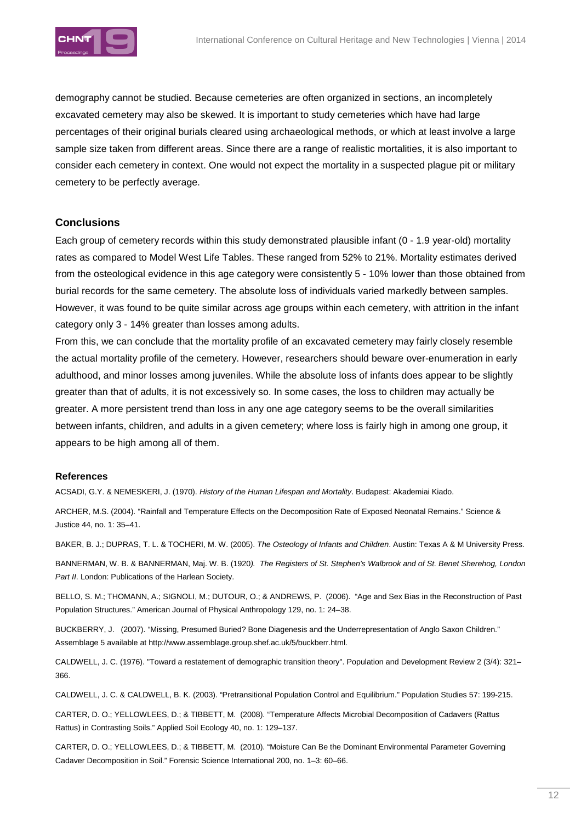

demography cannot be studied. Because cemeteries are often organized in sections, an incompletely excavated cemetery may also be skewed. It is important to study cemeteries which have had large percentages of their original burials cleared using archaeological methods, or which at least involve a large sample size taken from different areas. Since there are a range of realistic mortalities, it is also important to consider each cemetery in context. One would not expect the mortality in a suspected plague pit or military cemetery to be perfectly average.

#### **Conclusions**

Each group of cemetery records within this study demonstrated plausible infant (0 - 1.9 year-old) mortality rates as compared to Model West Life Tables. These ranged from 52% to 21%. Mortality estimates derived from the osteological evidence in this age category were consistently 5 - 10% lower than those obtained from burial records for the same cemetery. The absolute loss of individuals varied markedly between samples. However, it was found to be quite similar across age groups within each cemetery, with attrition in the infant category only 3 - 14% greater than losses among adults.

From this, we can conclude that the mortality profile of an excavated cemetery may fairly closely resemble the actual mortality profile of the cemetery. However, researchers should beware over-enumeration in early adulthood, and minor losses among juveniles. While the absolute loss of infants does appear to be slightly greater than that of adults, it is not excessively so. In some cases, the loss to children may actually be greater. A more persistent trend than loss in any one age category seems to be the overall similarities between infants, children, and adults in a given cemetery; where loss is fairly high in among one group, it appears to be high among all of them.

#### **References**

ACSADI, G.Y. & NEMESKERI, J. (1970). History of the Human Lifespan and Mortality. Budapest: Akademiai Kiado.

ARCHER, M.S. (2004). "Rainfall and Temperature Effects on the Decomposition Rate of Exposed Neonatal Remains." Science & Justice 44, no. 1: 35–41.

BAKER, B. J.; DUPRAS, T. L. & TOCHERI, M. W. (2005). The Osteology of Infants and Children. Austin: Texas A & M University Press.

BANNERMAN, W. B. & BANNERMAN, Maj. W. B. (1920). The Registers of St. Stephen's Walbrook and of St. Benet Sherehog, London Part II. London: Publications of the Harlean Society.

BELLO, S. M.; THOMANN, A.; SIGNOLI, M.; DUTOUR, O.; & ANDREWS, P. (2006). "Age and Sex Bias in the Reconstruction of Past Population Structures." American Journal of Physical Anthropology 129, no. 1: 24–38.

BUCKBERRY, J. (2007). "Missing, Presumed Buried? Bone Diagenesis and the Underrepresentation of Anglo Saxon Children." Assemblage 5 available at http://www.assemblage.group.shef.ac.uk/5/buckberr.html.

CALDWELL, J. C. (1976). "Toward a restatement of demographic transition theory". Population and Development Review 2 (3/4): 321– 366.

CALDWELL, J. C. & CALDWELL, B. K. (2003). "Pretransitional Population Control and Equilibrium." Population Studies 57: 199-215.

CARTER, D. O.; YELLOWLEES, D.; & TIBBETT, M. (2008). "Temperature Affects Microbial Decomposition of Cadavers (Rattus Rattus) in Contrasting Soils." Applied Soil Ecology 40, no. 1: 129–137.

CARTER, D. O.; YELLOWLEES, D.; & TIBBETT, M. (2010). "Moisture Can Be the Dominant Environmental Parameter Governing Cadaver Decomposition in Soil." Forensic Science International 200, no. 1–3: 60–66.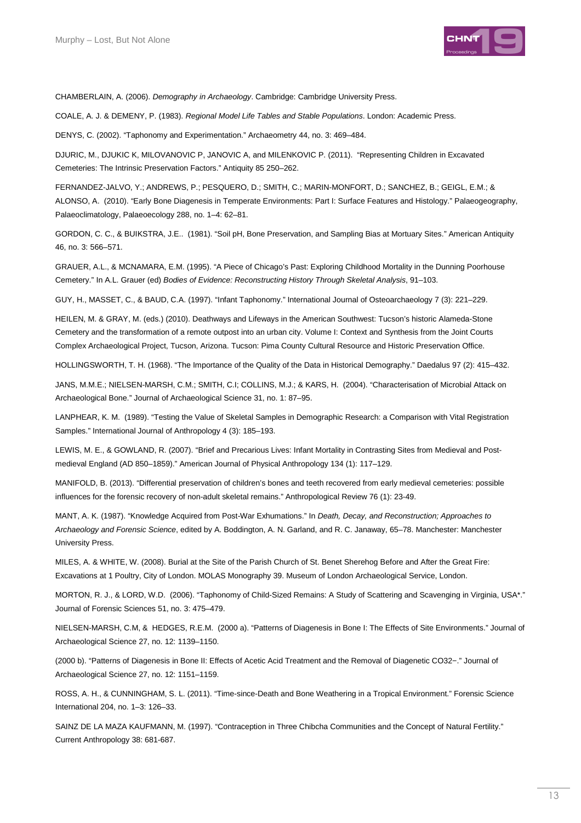

CHAMBERLAIN, A. (2006). Demography in Archaeology. Cambridge: Cambridge University Press.

COALE, A. J. & DEMENY, P. (1983). Regional Model Life Tables and Stable Populations. London: Academic Press.

DENYS, C. (2002). "Taphonomy and Experimentation." Archaeometry 44, no. 3: 469–484.

DJURIC, M., DJUKIC K, MILOVANOVIC P, JANOVIC A, and MILENKOVIC P. (2011). "Representing Children in Excavated Cemeteries: The Intrinsic Preservation Factors." Antiquity 85 250–262.

FERNANDEZ-JALVO, Y.; ANDREWS, P.; PESQUERO, D.; SMITH, C.; MARIN-MONFORT, D.; SANCHEZ, B.; GEIGL, E.M.; & ALONSO, A. (2010). "Early Bone Diagenesis in Temperate Environments: Part I: Surface Features and Histology." Palaeogeography, Palaeoclimatology, Palaeoecology 288, no. 1–4: 62–81.

GORDON, C. C., & BUIKSTRA, J.E.. (1981). "Soil pH, Bone Preservation, and Sampling Bias at Mortuary Sites." American Antiquity 46, no. 3: 566–571.

GRAUER, A.L., & MCNAMARA, E.M. (1995). "A Piece of Chicago's Past: Exploring Childhood Mortality in the Dunning Poorhouse Cemetery." In A.L. Grauer (ed) Bodies of Evidence: Reconstructing History Through Skeletal Analysis, 91–103.

GUY, H., MASSET, C., & BAUD, C.A. (1997). "Infant Taphonomy." International Journal of Osteoarchaeology 7 (3): 221–229.

HEILEN, M. & GRAY, M. (eds.) (2010). Deathways and Lifeways in the American Southwest: Tucson's historic Alameda-Stone Cemetery and the transformation of a remote outpost into an urban city. Volume I: Context and Synthesis from the Joint Courts Complex Archaeological Project, Tucson, Arizona. Tucson: Pima County Cultural Resource and Historic Preservation Office.

HOLLINGSWORTH, T. H. (1968). "The Importance of the Quality of the Data in Historical Demography." Daedalus 97 (2): 415–432.

JANS, M.M.E.; NIELSEN-MARSH, C.M.; SMITH, C.I; COLLINS, M.J.; & KARS, H. (2004). "Characterisation of Microbial Attack on Archaeological Bone." Journal of Archaeological Science 31, no. 1: 87–95.

LANPHEAR, K. M. (1989). "Testing the Value of Skeletal Samples in Demographic Research: a Comparison with Vital Registration Samples." International Journal of Anthropology 4 (3): 185–193.

LEWIS, M. E., & GOWLAND, R. (2007). "Brief and Precarious Lives: Infant Mortality in Contrasting Sites from Medieval and Postmedieval England (AD 850–1859)." American Journal of Physical Anthropology 134 (1): 117–129.

MANIFOLD, B. (2013). "Differential preservation of children's bones and teeth recovered from early medieval cemeteries: possible influences for the forensic recovery of non-adult skeletal remains." Anthropological Review 76 (1): 23-49.

MANT, A. K. (1987). "Knowledge Acquired from Post-War Exhumations." In Death, Decay, and Reconstruction; Approaches to Archaeology and Forensic Science, edited by A. Boddington, A. N. Garland, and R. C. Janaway, 65–78. Manchester: Manchester University Press.

MILES, A. & WHITE, W. (2008). Burial at the Site of the Parish Church of St. Benet Sherehog Before and After the Great Fire: Excavations at 1 Poultry, City of London. MOLAS Monography 39. Museum of London Archaeological Service, London.

MORTON, R. J., & LORD, W.D. (2006). "Taphonomy of Child-Sized Remains: A Study of Scattering and Scavenging in Virginia, USA\*." Journal of Forensic Sciences 51, no. 3: 475–479.

NIELSEN-MARSH, C.M, & HEDGES, R.E.M. (2000 a). "Patterns of Diagenesis in Bone I: The Effects of Site Environments." Journal of Archaeological Science 27, no. 12: 1139–1150.

(2000 b). "Patterns of Diagenesis in Bone II: Effects of Acetic Acid Treatment and the Removal of Diagenetic CO32−." Journal of Archaeological Science 27, no. 12: 1151–1159.

ROSS, A. H., & CUNNINGHAM, S. L. (2011). "Time-since-Death and Bone Weathering in a Tropical Environment." Forensic Science International 204, no. 1–3: 126–33.

SAINZ DE LA MAZA KAUFMANN, M. (1997). "Contraception in Three Chibcha Communities and the Concept of Natural Fertility." Current Anthropology 38: 681-687.